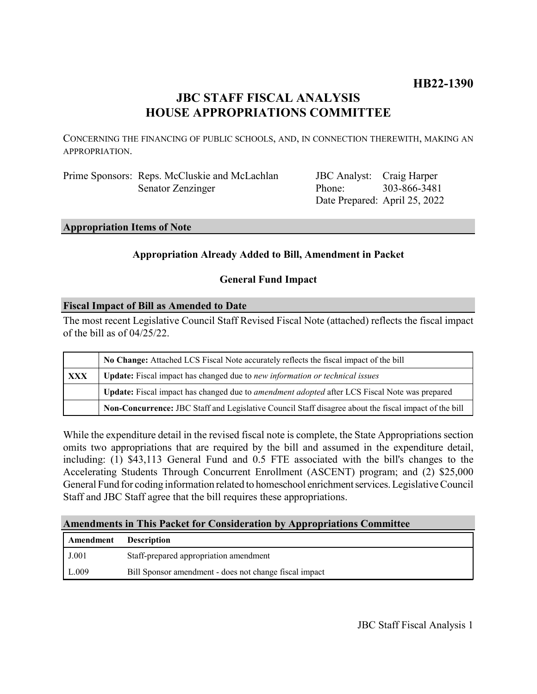# **HB22-1390**

# **JBC STAFF FISCAL ANALYSIS HOUSE APPROPRIATIONS COMMITTEE**

CONCERNING THE FINANCING OF PUBLIC SCHOOLS, AND, IN CONNECTION THEREWITH, MAKING AN APPROPRIATION.

Prime Sponsors: Reps. McCluskie and McLachlan Senator Zenzinger

JBC Analyst: Craig Harper Phone: Date Prepared: April 25, 2022 303-866-3481

# **Appropriation Items of Note**

# **Appropriation Already Added to Bill, Amendment in Packet**

# **General Fund Impact**

# **Fiscal Impact of Bill as Amended to Date**

The most recent Legislative Council Staff Revised Fiscal Note (attached) reflects the fiscal impact of the bill as of 04/25/22.

|     | No Change: Attached LCS Fiscal Note accurately reflects the fiscal impact of the bill                       |  |  |
|-----|-------------------------------------------------------------------------------------------------------------|--|--|
| XXX | <b>Update:</b> Fiscal impact has changed due to new information or technical issues                         |  |  |
|     | <b>Update:</b> Fiscal impact has changed due to <i>amendment adopted</i> after LCS Fiscal Note was prepared |  |  |
|     | Non-Concurrence: JBC Staff and Legislative Council Staff disagree about the fiscal impact of the bill       |  |  |

While the expenditure detail in the revised fiscal note is complete, the State Appropriations section omits two appropriations that are required by the bill and assumed in the expenditure detail, including: (1) \$43,113 General Fund and 0.5 FTE associated with the bill's changes to the Accelerating Students Through Concurrent Enrollment (ASCENT) program; and (2) \$25,000 General Fund for coding information related to homeschool enrichment services. Legislative Council Staff and JBC Staff agree that the bill requires these appropriations.

# **Amendments in This Packet for Consideration by Appropriations Committee**

| Amendment | <b>Description</b>                                     |
|-----------|--------------------------------------------------------|
| J.001     | Staff-prepared appropriation amendment                 |
| L.009     | Bill Sponsor amendment - does not change fiscal impact |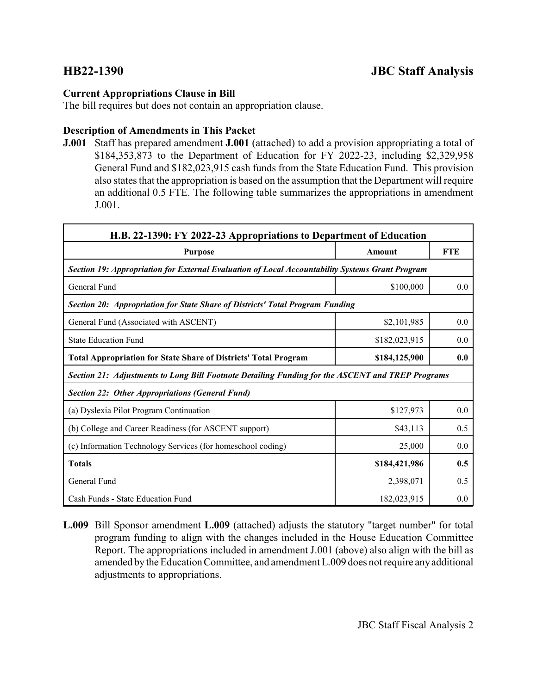# **Current Appropriations Clause in Bill**

The bill requires but does not contain an appropriation clause.

# **Description of Amendments in This Packet**

**J.001** Staff has prepared amendment **J.001** (attached) to add a provision appropriating a total of \$184,353,873 to the Department of Education for FY 2022-23, including \$2,329,958 General Fund and \$182,023,915 cash funds from the State Education Fund. This provision also states that the appropriation is based on the assumption that the Department will require an additional 0.5 FTE. The following table summarizes the appropriations in amendment J.001.

| H.B. 22-1390: FY 2022-23 Appropriations to Department of Education                               |               |            |  |  |  |
|--------------------------------------------------------------------------------------------------|---------------|------------|--|--|--|
| <b>Purpose</b>                                                                                   | Amount        | <b>FTE</b> |  |  |  |
| Section 19: Appropriation for External Evaluation of Local Accountability Systems Grant Program  |               |            |  |  |  |
| General Fund                                                                                     | \$100,000     | 0.0        |  |  |  |
| Section 20: Appropriation for State Share of Districts' Total Program Funding                    |               |            |  |  |  |
| General Fund (Associated with ASCENT)                                                            | \$2,101,985   | 0.0        |  |  |  |
| <b>State Education Fund</b>                                                                      | \$182,023,915 | 0.0        |  |  |  |
| <b>Total Appropriation for State Share of Districts' Total Program</b>                           | \$184,125,900 | 0.0        |  |  |  |
| Section 21: Adjustments to Long Bill Footnote Detailing Funding for the ASCENT and TREP Programs |               |            |  |  |  |
| <b>Section 22: Other Appropriations (General Fund)</b>                                           |               |            |  |  |  |
| (a) Dyslexia Pilot Program Continuation                                                          | \$127,973     | 0.0        |  |  |  |
| (b) College and Career Readiness (for ASCENT support)                                            | \$43,113      | 0.5        |  |  |  |
| (c) Information Technology Services (for homeschool coding)                                      | 25,000        | 0.0        |  |  |  |
| <b>Totals</b>                                                                                    | \$184,421,986 | 0.5        |  |  |  |
| General Fund                                                                                     | 2,398,071     | 0.5        |  |  |  |
| Cash Funds - State Education Fund                                                                | 182,023,915   | 0.0        |  |  |  |

**L.009** Bill Sponsor amendment **L.009** (attached) adjusts the statutory "target number" for total program funding to align with the changes included in the House Education Committee Report. The appropriations included in amendment J.001 (above) also align with the bill as amended by the Education Committee, and amendment L.009 does not require any additional adjustments to appropriations.